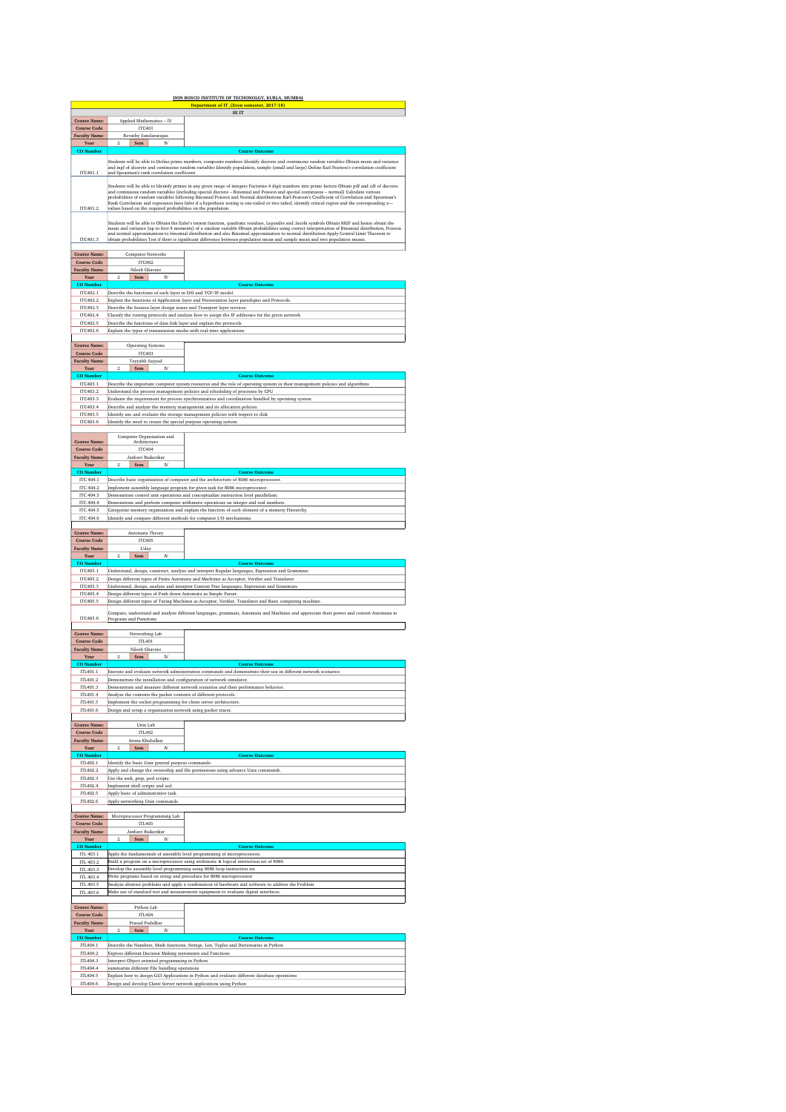| <u>DON BOSCO INSTITUTE OF TECHONOLGY, KURLA, MUMBAI</u><br>Department of IT, (Even semester, 2017-18) |                                                                                                                                                                                                                                                                                                                                                                                                                                                                                                                                                                                                              |                                                                                                                                                                                                                |  |  |  |  |
|-------------------------------------------------------------------------------------------------------|--------------------------------------------------------------------------------------------------------------------------------------------------------------------------------------------------------------------------------------------------------------------------------------------------------------------------------------------------------------------------------------------------------------------------------------------------------------------------------------------------------------------------------------------------------------------------------------------------------------|----------------------------------------------------------------------------------------------------------------------------------------------------------------------------------------------------------------|--|--|--|--|
|                                                                                                       |                                                                                                                                                                                                                                                                                                                                                                                                                                                                                                                                                                                                              | SE IT                                                                                                                                                                                                          |  |  |  |  |
| <b>Course Name:</b><br><b>Course Code</b>                                                             | Applied Mathematics - IV<br><b>ITC401</b>                                                                                                                                                                                                                                                                                                                                                                                                                                                                                                                                                                    |                                                                                                                                                                                                                |  |  |  |  |
| <b>Faculty Name:</b>                                                                                  | Revathy Sundararajan                                                                                                                                                                                                                                                                                                                                                                                                                                                                                                                                                                                         |                                                                                                                                                                                                                |  |  |  |  |
| Year<br><b>CO</b> Number                                                                              | $\overline{2}$<br>Sem<br>IV                                                                                                                                                                                                                                                                                                                                                                                                                                                                                                                                                                                  | <b>Course Outcome</b>                                                                                                                                                                                          |  |  |  |  |
| ITC401.1                                                                                              | Students will be able to Define prime numbers, composite numbers Identify discrete and continuous random variables Obtain mean and variance<br>and mgf of discrete and continuous random variables Identify population, sample (small and large) Define Karl Pearson's correlation coefficient<br>and Spearman's rank correlation coefficient                                                                                                                                                                                                                                                                |                                                                                                                                                                                                                |  |  |  |  |
| ITC401.2                                                                                              | .<br>Students will be able to Identify primes in any given range of integers Factorize 4 digit numbers into prime factors Obtain pdf and cdf of discrete<br>and continuous random variables (including special discrete – Binomial a<br>probabilities of random variables following Binomial Poisson and Normal distributions Karl-Pearson's Coefficient of Correlation and Spearman's<br>Rank Correlation and regression lines Infer if a hypothesis testing is one-tailed or two tailed, identify critical region and the corresponding z-<br>values based on the required probabilities on the population |                                                                                                                                                                                                                |  |  |  |  |
| ITC401.3                                                                                              | Students will be able to Obtain the Euler's totient function, quadratic residues, Legendre and Jacobi symbols Obtain MGF and hence obtain the<br>mean and variance (up to first 4 moments) of a random variable Obtain probabilities using correct interpretation of Binomial distribution, Poisson<br>and normal approximations to binomial distribution and also Binomial approximation to normal distribution Apply Central Limit Theorem to<br>obtain probabilities Test if there is significant difference between population mean and sample mean and two population means                             |                                                                                                                                                                                                                |  |  |  |  |
| <b>Course Name:</b><br><b>Course Code</b>                                                             | <b>Computer Networks</b><br><b>ITC402</b>                                                                                                                                                                                                                                                                                                                                                                                                                                                                                                                                                                    |                                                                                                                                                                                                                |  |  |  |  |
| <b>Faculty Name:</b><br>Year                                                                          | Nilesh Ghavate<br>$\overline{2}$<br>Sem<br>IV                                                                                                                                                                                                                                                                                                                                                                                                                                                                                                                                                                |                                                                                                                                                                                                                |  |  |  |  |
| <b>CO</b> Number                                                                                      |                                                                                                                                                                                                                                                                                                                                                                                                                                                                                                                                                                                                              | <b>Course Outcome</b>                                                                                                                                                                                          |  |  |  |  |
| ITC402.1<br>ITC402.2                                                                                  | Describe the functions of each layer in OSI and TCP/IP model                                                                                                                                                                                                                                                                                                                                                                                                                                                                                                                                                 | Explain the functions of Application layer and Presentation layer paradigms and Protocols.                                                                                                                     |  |  |  |  |
| ITC402.3                                                                                              | Describe the Session layer design issues and Transport layer services.                                                                                                                                                                                                                                                                                                                                                                                                                                                                                                                                       |                                                                                                                                                                                                                |  |  |  |  |
| ITC402.4<br>ITC402.5                                                                                  | Describe the functions of data link layer and explain the protocols                                                                                                                                                                                                                                                                                                                                                                                                                                                                                                                                          | Classify the routing protocols and analyze how to assign the IP addresses for the given network.                                                                                                               |  |  |  |  |
| ITC402.6                                                                                              | Explain the types of transmission media with real-time applications.                                                                                                                                                                                                                                                                                                                                                                                                                                                                                                                                         |                                                                                                                                                                                                                |  |  |  |  |
| <b>Course Name:</b>                                                                                   | Operating Systems                                                                                                                                                                                                                                                                                                                                                                                                                                                                                                                                                                                            |                                                                                                                                                                                                                |  |  |  |  |
| <b>Course Code</b>                                                                                    | <b>ITC403</b>                                                                                                                                                                                                                                                                                                                                                                                                                                                                                                                                                                                                |                                                                                                                                                                                                                |  |  |  |  |
| <b>Faculty Name:</b><br>Year                                                                          | Tayyabli Sayyad<br>$\overline{2}$<br>Sem  <br>IV                                                                                                                                                                                                                                                                                                                                                                                                                                                                                                                                                             |                                                                                                                                                                                                                |  |  |  |  |
| <b>CO</b> Number                                                                                      |                                                                                                                                                                                                                                                                                                                                                                                                                                                                                                                                                                                                              | <b>Course Outcome</b>                                                                                                                                                                                          |  |  |  |  |
| ITC403.1<br>ITC403.2                                                                                  |                                                                                                                                                                                                                                                                                                                                                                                                                                                                                                                                                                                                              | Describe the important computer system resources and the role of operating system in their management policies and algorithms<br>Understand the process management policies and scheduling of processes by CPU |  |  |  |  |
| ITC403.3                                                                                              |                                                                                                                                                                                                                                                                                                                                                                                                                                                                                                                                                                                                              | Evaluate the requirement for process synchronization and coordination handled by operating system                                                                                                              |  |  |  |  |
| ITC403.4                                                                                              | Describe and analyze the memory management and its allocation policies.                                                                                                                                                                                                                                                                                                                                                                                                                                                                                                                                      |                                                                                                                                                                                                                |  |  |  |  |
| ITC403.5<br>ITC403.6                                                                                  |                                                                                                                                                                                                                                                                                                                                                                                                                                                                                                                                                                                                              | Identify use and evaluate the storage management policies with respect to disk                                                                                                                                 |  |  |  |  |
|                                                                                                       | Identify the need to create the special purpose operating system                                                                                                                                                                                                                                                                                                                                                                                                                                                                                                                                             |                                                                                                                                                                                                                |  |  |  |  |
| <b>Course Name:</b>                                                                                   | Computer Organization and<br>Architecture                                                                                                                                                                                                                                                                                                                                                                                                                                                                                                                                                                    |                                                                                                                                                                                                                |  |  |  |  |
| <b>Course Code</b>                                                                                    | <b>ITC404</b>                                                                                                                                                                                                                                                                                                                                                                                                                                                                                                                                                                                                |                                                                                                                                                                                                                |  |  |  |  |
| <b>Faculty Name:</b>                                                                                  | Janhavi Baikerikar<br>$\overline{2}$<br>IV                                                                                                                                                                                                                                                                                                                                                                                                                                                                                                                                                                   |                                                                                                                                                                                                                |  |  |  |  |
| Year<br><b>CO</b> Number                                                                              | Sem                                                                                                                                                                                                                                                                                                                                                                                                                                                                                                                                                                                                          | <b>Course Outcome</b>                                                                                                                                                                                          |  |  |  |  |
| ITC 404.1                                                                                             |                                                                                                                                                                                                                                                                                                                                                                                                                                                                                                                                                                                                              | Describe basic organization of computer and the architecture of 8086 microprocessor.                                                                                                                           |  |  |  |  |
| ITC 404.2<br>ITC 404.3                                                                                |                                                                                                                                                                                                                                                                                                                                                                                                                                                                                                                                                                                                              | Implement assembly language program for given task for 8086 microprocessor.<br>Demonstrate control unit operations and conceptualize instruction level parallelism.                                            |  |  |  |  |
| <b>ITC 404.4</b>                                                                                      |                                                                                                                                                                                                                                                                                                                                                                                                                                                                                                                                                                                                              | Demonstrate and perform computer arithmetic operations on integer and real numbers                                                                                                                             |  |  |  |  |
| <b>ITC 404.5</b><br>ITC 404.6                                                                         | Identify and compare different methods for computer I/O mechanisms.                                                                                                                                                                                                                                                                                                                                                                                                                                                                                                                                          | Categorize memory organization and explain the function of each element of a memory Hierarchy.                                                                                                                 |  |  |  |  |
|                                                                                                       |                                                                                                                                                                                                                                                                                                                                                                                                                                                                                                                                                                                                              |                                                                                                                                                                                                                |  |  |  |  |
| <b>Course Name</b>                                                                                    | Automata Theory<br><b>ITC405</b>                                                                                                                                                                                                                                                                                                                                                                                                                                                                                                                                                                             |                                                                                                                                                                                                                |  |  |  |  |
| <b>Course Code</b>                                                                                    |                                                                                                                                                                                                                                                                                                                                                                                                                                                                                                                                                                                                              |                                                                                                                                                                                                                |  |  |  |  |
| <b>Faculty Name:</b>                                                                                  | Uday                                                                                                                                                                                                                                                                                                                                                                                                                                                                                                                                                                                                         |                                                                                                                                                                                                                |  |  |  |  |
| Year                                                                                                  | $_{\rm IV}$<br>$\overline{2}$<br>Sem                                                                                                                                                                                                                                                                                                                                                                                                                                                                                                                                                                         |                                                                                                                                                                                                                |  |  |  |  |
| <b>CO</b> Number<br>ITC405.1                                                                          |                                                                                                                                                                                                                                                                                                                                                                                                                                                                                                                                                                                                              | <b>Course Outcome</b>                                                                                                                                                                                          |  |  |  |  |
| ITC405.2                                                                                              |                                                                                                                                                                                                                                                                                                                                                                                                                                                                                                                                                                                                              | Understand, design, construct, analyze and interpret Regular languages, Expression and Grammars<br>Design different types of Finite Automata and Machines as Acceptor, Verifier and Translator.                |  |  |  |  |
| ITC405.3                                                                                              |                                                                                                                                                                                                                                                                                                                                                                                                                                                                                                                                                                                                              | Understand, design, analyze and interpret Context Free languages, Expression and Grammars.                                                                                                                     |  |  |  |  |
| <b>ITC405.4</b><br>ITC405.5                                                                           | Design different types of Push down Automata as Simple Parser.                                                                                                                                                                                                                                                                                                                                                                                                                                                                                                                                               | Design different types of Turing Machines as Acceptor, Verifier, Translator and Basic computing machine.                                                                                                       |  |  |  |  |
| ITC405.6                                                                                              | Programs and Functions                                                                                                                                                                                                                                                                                                                                                                                                                                                                                                                                                                                       | Compare, understand and analyze different languages, grammars, Automata and Machines and appreciate their power and convert Automata to                                                                        |  |  |  |  |
| <b>Course Name:</b>                                                                                   | Networking Lab                                                                                                                                                                                                                                                                                                                                                                                                                                                                                                                                                                                               |                                                                                                                                                                                                                |  |  |  |  |
| <b>Course Code</b><br><b>Faculty Name:</b>                                                            | ITL401<br>Nilesh Ghavate                                                                                                                                                                                                                                                                                                                                                                                                                                                                                                                                                                                     |                                                                                                                                                                                                                |  |  |  |  |
| Year                                                                                                  | Sem                                                                                                                                                                                                                                                                                                                                                                                                                                                                                                                                                                                                          |                                                                                                                                                                                                                |  |  |  |  |
| <b>CO</b> Numbe<br>ITL401.1                                                                           |                                                                                                                                                                                                                                                                                                                                                                                                                                                                                                                                                                                                              | Execute and evaluate network administration commands and demonstrate their use in different network scenarios                                                                                                  |  |  |  |  |
| ITL401.2                                                                                              | Demonstrate the installation and configuration of network simulator.                                                                                                                                                                                                                                                                                                                                                                                                                                                                                                                                         |                                                                                                                                                                                                                |  |  |  |  |
| ITL401.3<br>ITL401.4                                                                                  |                                                                                                                                                                                                                                                                                                                                                                                                                                                                                                                                                                                                              | Demonstrate and measure different network scenarios and their performance behavior                                                                                                                             |  |  |  |  |
| ITL401.5                                                                                              | Analyze the contents the packet contents of different protocols.<br>Implement the socket programming for client server architecture.                                                                                                                                                                                                                                                                                                                                                                                                                                                                         |                                                                                                                                                                                                                |  |  |  |  |
| ITL401.6                                                                                              | Design and setup a organization network using packet tracer.                                                                                                                                                                                                                                                                                                                                                                                                                                                                                                                                                 |                                                                                                                                                                                                                |  |  |  |  |
| <b>Course Name:</b>                                                                                   | Unix Lab                                                                                                                                                                                                                                                                                                                                                                                                                                                                                                                                                                                                     |                                                                                                                                                                                                                |  |  |  |  |
| <b>Course Code</b>                                                                                    | <b>ITL402</b>                                                                                                                                                                                                                                                                                                                                                                                                                                                                                                                                                                                                |                                                                                                                                                                                                                |  |  |  |  |
| <b>Faculty Name:</b><br>Year                                                                          | Aruna Khubalkar<br>$\overline{2}$<br>IV<br>Sem                                                                                                                                                                                                                                                                                                                                                                                                                                                                                                                                                               |                                                                                                                                                                                                                |  |  |  |  |
| <b>CO</b> Numbe                                                                                       |                                                                                                                                                                                                                                                                                                                                                                                                                                                                                                                                                                                                              | <b>Course Outcome</b>                                                                                                                                                                                          |  |  |  |  |
| ITL402.1<br>TTL402.2                                                                                  | Identify the basic Unix general purpose commands                                                                                                                                                                                                                                                                                                                                                                                                                                                                                                                                                             |                                                                                                                                                                                                                |  |  |  |  |
| ITL402.3                                                                                              | Use the awk, grep, perl scripts                                                                                                                                                                                                                                                                                                                                                                                                                                                                                                                                                                              | Apply and change the ownership and file permissions using advance Unix commands.                                                                                                                               |  |  |  |  |
| ITL402.4<br>ITL402.5                                                                                  | Implement shell scripts and sed.                                                                                                                                                                                                                                                                                                                                                                                                                                                                                                                                                                             |                                                                                                                                                                                                                |  |  |  |  |
| ITL402.6                                                                                              | Apply basic of administrative task.<br>Apply networking Unix commands                                                                                                                                                                                                                                                                                                                                                                                                                                                                                                                                        |                                                                                                                                                                                                                |  |  |  |  |
|                                                                                                       |                                                                                                                                                                                                                                                                                                                                                                                                                                                                                                                                                                                                              |                                                                                                                                                                                                                |  |  |  |  |
| <b>Course Name:</b><br><b>Course Code</b>                                                             | Microprocessor Programming Lab<br>ITL403                                                                                                                                                                                                                                                                                                                                                                                                                                                                                                                                                                     |                                                                                                                                                                                                                |  |  |  |  |
| <b>Faculty Name:</b>                                                                                  | Janhavi Baikerikar                                                                                                                                                                                                                                                                                                                                                                                                                                                                                                                                                                                           |                                                                                                                                                                                                                |  |  |  |  |
| Year<br><b>CO</b> Numbe                                                                               | $\overline{2}$<br>${\bf Sem}$                                                                                                                                                                                                                                                                                                                                                                                                                                                                                                                                                                                | <b>Course Outcome</b>                                                                                                                                                                                          |  |  |  |  |
| ITL 403.1                                                                                             | Apply the fundamentals of assembly level programming of microprocessors                                                                                                                                                                                                                                                                                                                                                                                                                                                                                                                                      |                                                                                                                                                                                                                |  |  |  |  |
| ITL 403.2<br>ITL 403.3                                                                                |                                                                                                                                                                                                                                                                                                                                                                                                                                                                                                                                                                                                              | Build a program on a microprocessor using arithmetic & logical instruction set of 8086.                                                                                                                        |  |  |  |  |
| ITL 403.4                                                                                             | Develop the assembly level programming using 8086 loop instruction set<br>Write programs based on string and procedure for 8086 microprocessor                                                                                                                                                                                                                                                                                                                                                                                                                                                               |                                                                                                                                                                                                                |  |  |  |  |
| ITL 403.5                                                                                             |                                                                                                                                                                                                                                                                                                                                                                                                                                                                                                                                                                                                              | Analyze abstract problems and apply a combination of hardware and software to address the Problem                                                                                                              |  |  |  |  |
| ITL 403.6                                                                                             |                                                                                                                                                                                                                                                                                                                                                                                                                                                                                                                                                                                                              | Make use of standard test and measurement equipment to evaluate digital interfaces.                                                                                                                            |  |  |  |  |
| <b>Course Name:</b>                                                                                   | Python Lab                                                                                                                                                                                                                                                                                                                                                                                                                                                                                                                                                                                                   |                                                                                                                                                                                                                |  |  |  |  |
| <b>Course Code</b><br><b>Faculty Name:</b>                                                            | ITL404<br>Prasad Padalkar                                                                                                                                                                                                                                                                                                                                                                                                                                                                                                                                                                                    |                                                                                                                                                                                                                |  |  |  |  |
| Year                                                                                                  | IV<br>$\overline{2}$<br>Sem                                                                                                                                                                                                                                                                                                                                                                                                                                                                                                                                                                                  |                                                                                                                                                                                                                |  |  |  |  |
| <b>CO</b> Number                                                                                      |                                                                                                                                                                                                                                                                                                                                                                                                                                                                                                                                                                                                              | <b>Course Outcom</b>                                                                                                                                                                                           |  |  |  |  |
| ITL404.1<br>ITL404.2                                                                                  | Express different Decision Making statements and Functions                                                                                                                                                                                                                                                                                                                                                                                                                                                                                                                                                   | Describe the Numbers, Math functions, Strings, List, Tuples and Dictionaries in Python                                                                                                                         |  |  |  |  |
| ITL404.3                                                                                              | Interpret Object oriented programming in Python                                                                                                                                                                                                                                                                                                                                                                                                                                                                                                                                                              |                                                                                                                                                                                                                |  |  |  |  |
| ITL404.4<br>ITL404.5                                                                                  | summarize different File handling operations                                                                                                                                                                                                                                                                                                                                                                                                                                                                                                                                                                 | Explain how to design GUI Applications in Python and evaluate different database operations                                                                                                                    |  |  |  |  |
| ITL404.6                                                                                              | Design and develop Client Server network applications using Python                                                                                                                                                                                                                                                                                                                                                                                                                                                                                                                                           |                                                                                                                                                                                                                |  |  |  |  |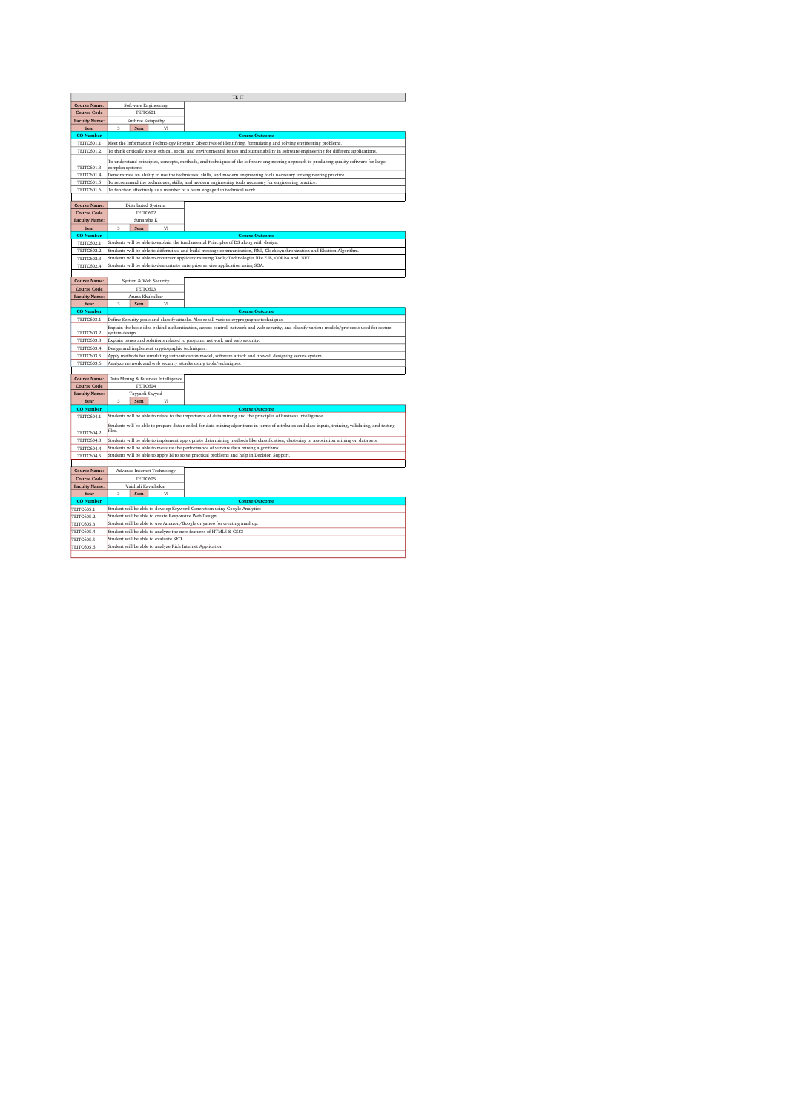|                      |                                                                                                                                                                                                                                                              |    | TE IT                                                                                                                     |  |  |  |
|----------------------|--------------------------------------------------------------------------------------------------------------------------------------------------------------------------------------------------------------------------------------------------------------|----|---------------------------------------------------------------------------------------------------------------------------|--|--|--|
| <b>Course Name:</b>  | Software Engineering                                                                                                                                                                                                                                         |    |                                                                                                                           |  |  |  |
| <b>Course Code</b>   | TEITC601                                                                                                                                                                                                                                                     |    |                                                                                                                           |  |  |  |
| <b>Faculty Name:</b> | Sushree Satapathy                                                                                                                                                                                                                                            |    |                                                                                                                           |  |  |  |
| Year                 | 3<br>Sem                                                                                                                                                                                                                                                     | VI |                                                                                                                           |  |  |  |
| <b>CO</b> Number     |                                                                                                                                                                                                                                                              |    | <b>Course Outcome</b>                                                                                                     |  |  |  |
| TEITC601.1           | Meet the Information Technology Program Objectives of identifying, formulating and solving engineering problems.                                                                                                                                             |    |                                                                                                                           |  |  |  |
| <b>TEITC601.2</b>    | To think critically about ethical, social and environmental issues and sustainability in software engineering for different applications.                                                                                                                    |    |                                                                                                                           |  |  |  |
| <b>TEITC601.3</b>    | To understand principles, concepts, methods, and techniques of the software engineering approach to producing quality software for large,<br>complex systems                                                                                                 |    |                                                                                                                           |  |  |  |
| <b>TEITC601.4</b>    | Demonstrate an ability to use the techniques, skills, and modern engineering tools necessary for engineering practice.                                                                                                                                       |    |                                                                                                                           |  |  |  |
| TEITC601.5           |                                                                                                                                                                                                                                                              |    | To recommend the techniques, skills, and modern engineering tools necessary for engineering practice.                     |  |  |  |
| TEITC601.6           |                                                                                                                                                                                                                                                              |    | To function effectively as a member of a team engaged in technical work.                                                  |  |  |  |
|                      |                                                                                                                                                                                                                                                              |    |                                                                                                                           |  |  |  |
| <b>Course Name:</b>  | Distributed Systems                                                                                                                                                                                                                                          |    |                                                                                                                           |  |  |  |
| <b>Course Code</b>   | TEITC602                                                                                                                                                                                                                                                     |    |                                                                                                                           |  |  |  |
| <b>Faculty Name:</b> | Sunantha K                                                                                                                                                                                                                                                   |    |                                                                                                                           |  |  |  |
| Year                 | 3<br>Sem                                                                                                                                                                                                                                                     | VI |                                                                                                                           |  |  |  |
| <b>CO</b> Number     |                                                                                                                                                                                                                                                              |    | <b>Course Outcome</b>                                                                                                     |  |  |  |
| <b>TEITC602.1</b>    |                                                                                                                                                                                                                                                              |    | Students will be able to explain the fundamental Principles of DS along with design.                                      |  |  |  |
| <b>TEITC602.2</b>    |                                                                                                                                                                                                                                                              |    | Students will be able to differntiate and build message communication, RMI, Clock synchronization and Election Algorithm. |  |  |  |
| <b>TEITC602.3</b>    |                                                                                                                                                                                                                                                              |    | Students will be able to construct applications using Tools/Technologies like EJB, CORBA and .NET.                        |  |  |  |
| <b>TEITC602.4</b>    |                                                                                                                                                                                                                                                              |    | Students will be able to demontrate enterprise service application using SOA.                                             |  |  |  |
|                      |                                                                                                                                                                                                                                                              |    |                                                                                                                           |  |  |  |
| <b>Course Name:</b>  | System & Web Security                                                                                                                                                                                                                                        |    |                                                                                                                           |  |  |  |
| <b>Course Code</b>   | TEITC603                                                                                                                                                                                                                                                     |    |                                                                                                                           |  |  |  |
| <b>Faculty Name:</b> | Aruna Khubalkar                                                                                                                                                                                                                                              |    |                                                                                                                           |  |  |  |
| Year                 | $\overline{\mathbf{3}}$<br>Sem                                                                                                                                                                                                                               | VI |                                                                                                                           |  |  |  |
| <b>CO</b> Number     |                                                                                                                                                                                                                                                              |    | <b>Course Outcome</b>                                                                                                     |  |  |  |
| <b>TEITC603.1</b>    |                                                                                                                                                                                                                                                              |    |                                                                                                                           |  |  |  |
| <b>TEITC603.2</b>    | Define Security goals and classify attacks. Also recall various cryprographic techniques.<br>Explain the basic idea behind authentication, access control, network and web security, and classify various models/protocols used for secure<br>system design. |    |                                                                                                                           |  |  |  |
| <b>TEITC603.3</b>    |                                                                                                                                                                                                                                                              |    | Explain issues and solutions related to program, network and web security.                                                |  |  |  |
| <b>TEITC603.4</b>    | Design and implement cryptographic techniques                                                                                                                                                                                                                |    |                                                                                                                           |  |  |  |
| <b>TEITC603.5</b>    |                                                                                                                                                                                                                                                              |    | Apply methods for simulating authentication model, software attack and firewall designing secure system.                  |  |  |  |
| <b>TEITC603.6</b>    |                                                                                                                                                                                                                                                              |    | Analyze network and web secuirty attacks using tools/techniques.                                                          |  |  |  |
|                      |                                                                                                                                                                                                                                                              |    |                                                                                                                           |  |  |  |
|                      |                                                                                                                                                                                                                                                              |    |                                                                                                                           |  |  |  |
| <b>Course Name:</b>  | Data Mining & Business Intelligence                                                                                                                                                                                                                          |    |                                                                                                                           |  |  |  |
| <b>Course Code</b>   | TEITC604                                                                                                                                                                                                                                                     |    |                                                                                                                           |  |  |  |
| <b>Faculty Name:</b> | Tayyabli Sayyad                                                                                                                                                                                                                                              |    |                                                                                                                           |  |  |  |
| Year                 | 3<br>Sem                                                                                                                                                                                                                                                     | VI |                                                                                                                           |  |  |  |
| <b>CO</b> Number     | <b>Course Outcome</b>                                                                                                                                                                                                                                        |    |                                                                                                                           |  |  |  |
| <b>TEITC604.1</b>    | Students will be able to relate to the importance of data mining and the principles of business intelligence.                                                                                                                                                |    |                                                                                                                           |  |  |  |
| <b>TEITC604.2</b>    | Students will be able to prepare data needed for data mining algorithms in terms of attributes and class inputs, training, validating, and testing<br>files.                                                                                                 |    |                                                                                                                           |  |  |  |
| <b>TEITC604.3</b>    | Students will be able to implement appropriate data mining methods like classification, clustering or association mining on data sets.                                                                                                                       |    |                                                                                                                           |  |  |  |
| <b>TEITC604.4</b>    |                                                                                                                                                                                                                                                              |    | Students will be able to measure the performance of various data mining algorithms.                                       |  |  |  |
| <b>TEITC604.5</b>    |                                                                                                                                                                                                                                                              |    | Students will be able to apply BI to solve practical problems and help in Decision Support.                               |  |  |  |
|                      |                                                                                                                                                                                                                                                              |    |                                                                                                                           |  |  |  |
| <b>Course Name:</b>  | Advance Internet Technology                                                                                                                                                                                                                                  |    |                                                                                                                           |  |  |  |
| <b>Course Code</b>   | TEITC605                                                                                                                                                                                                                                                     |    |                                                                                                                           |  |  |  |
| <b>Faculty Name:</b> | Vaishali Kavathekar                                                                                                                                                                                                                                          |    |                                                                                                                           |  |  |  |
| Year                 | Sem<br>3                                                                                                                                                                                                                                                     | VI |                                                                                                                           |  |  |  |
| <b>CO</b> Number     |                                                                                                                                                                                                                                                              |    | <b>Course Outcome</b>                                                                                                     |  |  |  |
| TEITC605.1           |                                                                                                                                                                                                                                                              |    | Student will be able to develop Keyword Generation using Google Analytics                                                 |  |  |  |
| <b>TEITC605.2</b>    | Student will be able to create Responsive Web Design.                                                                                                                                                                                                        |    |                                                                                                                           |  |  |  |
| <b>TEITC605.3</b>    |                                                                                                                                                                                                                                                              |    | Student will be able to use Amazon/Google or yahoo for creating mashup.                                                   |  |  |  |
| <b>TEITC605.4</b>    | Student will be able to analyze the new features of HTML5 & CSS3                                                                                                                                                                                             |    |                                                                                                                           |  |  |  |
| <b>TEITC605.5</b>    | Student will be able to evaluate SEO                                                                                                                                                                                                                         |    |                                                                                                                           |  |  |  |
|                      | Student will be able to analyze Rich Internet Application                                                                                                                                                                                                    |    |                                                                                                                           |  |  |  |
| <b>TEITC605.6</b>    |                                                                                                                                                                                                                                                              |    |                                                                                                                           |  |  |  |
|                      |                                                                                                                                                                                                                                                              |    |                                                                                                                           |  |  |  |